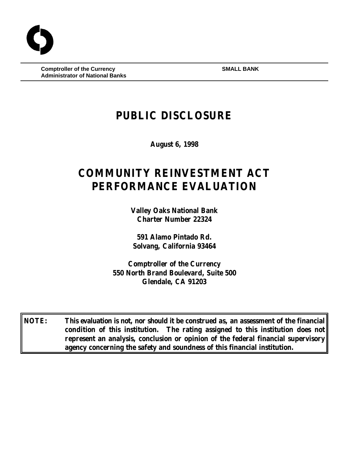**Comptroller of the Currency SMALL BANK Administrator of National Banks**

# **PUBLIC DISCLOSURE**

**August 6, 1998**

# **COMMUNITY REINVESTMENT ACT PERFORMANCE EVALUATION**

**Valley Oaks National Bank Charter Number 22324**

**591 Alamo Pintado Rd. Solvang, California 93464**

**Comptroller of the Currency 550 North Brand Boulevard, Suite 500 Glendale, CA 91203**

**NOTE: This evaluation is not, nor should it be construed as, an assessment of the financial condition of this institution. The rating assigned to this institution does not represent an analysis, conclusion or opinion of the federal financial supervisory agency concerning the safety and soundness of this financial institution.**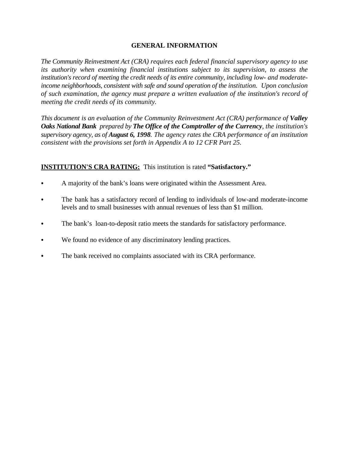### **GENERAL INFORMATION**

*The Community Reinvestment Act (CRA) requires each federal financial supervisory agency to use its authority when examining financial institutions subject to its supervision, to assess the institution's record of meeting the credit needs of its entire community, including low- and moderateincome neighborhoods, consistent with safe and sound operation of the institution. Upon conclusion of such examination, the agency must prepare a written evaluation of the institution's record of meeting the credit needs of its community.* 

*This document is an evaluation of the Community Reinvestment Act (CRA) performance of Valley Oaks National Bank prepared by The Office of the Comptroller of the Currency, the institution's supervisory agency, as of August 6, 1998. The agency rates the CRA performance of an institution consistent with the provisions set forth in Appendix A to 12 CFR Part 25.*

## **INSTITUTION'S CRA RATING:** This institution is rated **"Satisfactory."**

- A majority of the bank's loans were originated within the Assessment Area.
- The bank has a satisfactory record of lending to individuals of low-and moderate-income levels and to small businesses with annual revenues of less than \$1 million.
- The bank's loan-to-deposit ratio meets the standards for satisfactory performance.
- We found no evidence of any discriminatory lending practices.
- The bank received no complaints associated with its CRA performance.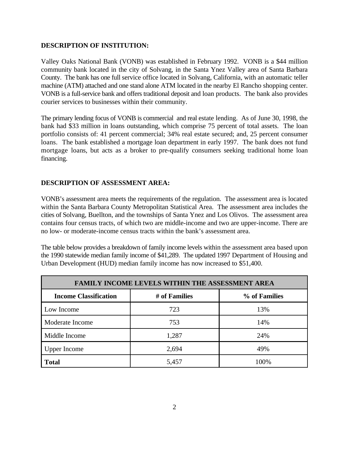#### **DESCRIPTION OF INSTITUTION:**

Valley Oaks National Bank (VONB) was established in February 1992. VONB is a \$44 million community bank located in the city of Solvang, in the Santa Ynez Valley area of Santa Barbara County. The bank has one full service office located in Solvang, California, with an automatic teller machine (ATM) attached and one stand alone ATM located in the nearby El Rancho shopping center. VONB is a full-service bank and offers traditional deposit and loan products. The bank also provides courier services to businesses within their community.

The primary lending focus of VONB is commercial and real estate lending. As of June 30, 1998, the bank had \$33 million in loans outstanding, which comprise 75 percent of total assets. The loan portfolio consists of: 41 percent commercial; 34% real estate secured; and, 25 percent consumer loans. The bank established a mortgage loan department in early 1997. The bank does not fund mortgage loans, but acts as a broker to pre-qualify consumers seeking traditional home loan financing.

#### **DESCRIPTION OF ASSESSMENT AREA:**

VONB's assessment area meets the requirements of the regulation. The assessment area is located within the Santa Barbara County Metropolitan Statistical Area. The assessment area includes the cities of Solvang, Buellton, and the townships of Santa Ynez and Los Olivos. The assessment area contains four census tracts, of which two are middle-income and two are upper-income. There are no low- or moderate-income census tracts within the bank's assessment area.

The table below provides a breakdown of family income levels within the assessment area based upon the 1990 statewide median family income of \$41,289. The updated 1997 Department of Housing and Urban Development (HUD) median family income has now increased to \$51,400.

| <b>FAMILY INCOME LEVELS WITHIN THE ASSESSMENT AREA</b> |               |               |  |  |  |
|--------------------------------------------------------|---------------|---------------|--|--|--|
| <b>Income Classification</b>                           | # of Families | % of Families |  |  |  |
| Low Income                                             | 723           | 13%           |  |  |  |
| Moderate Income                                        | 753           | 14%           |  |  |  |
| Middle Income                                          | 1,287         | 24%           |  |  |  |
| <b>Upper Income</b>                                    | 2,694         | 49%           |  |  |  |
| <b>Total</b>                                           | 5,457         | 100%          |  |  |  |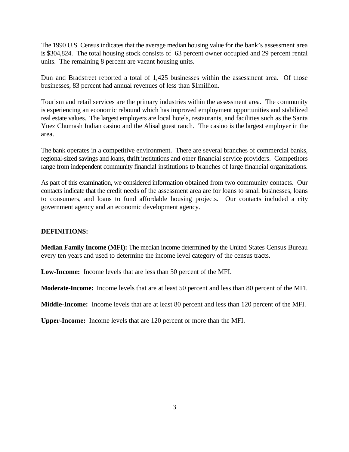The 1990 U.S. Census indicates that the average median housing value for the bank's assessment area is \$304,824. The total housing stock consists of 63 percent owner occupied and 29 percent rental units. The remaining 8 percent are vacant housing units.

Dun and Bradstreet reported a total of 1,425 businesses within the assessment area. Of those businesses, 83 percent had annual revenues of less than \$1million.

Tourism and retail services are the primary industries within the assessment area. The community is experiencing an economic rebound which has improved employment opportunities and stabilized real estate values. The largest employers are local hotels, restaurants, and facilities such as the Santa Ynez Chumash Indian casino and the Alisal guest ranch. The casino is the largest employer in the area.

The bank operates in a competitive environment. There are several branches of commercial banks, regional-sized savings and loans, thrift institutions and other financial service providers. Competitors range from independent community financial institutions to branches of large financial organizations.

As part of this examination, we considered information obtained from two community contacts. Our contacts indicate that the credit needs of the assessment area are for loans to small businesses, loans to consumers, and loans to fund affordable housing projects. Our contacts included a city government agency and an economic development agency.

#### **DEFINITIONS:**

**Median Family Income (MFI):** The median income determined by the United States Census Bureau every ten years and used to determine the income level category of the census tracts.

**Low-Income:** Income levels that are less than 50 percent of the MFI.

**Moderate-Income:** Income levels that are at least 50 percent and less than 80 percent of the MFI.

**Middle-Income:** Income levels that are at least 80 percent and less than 120 percent of the MFI.

**Upper-Income:** Income levels that are 120 percent or more than the MFI.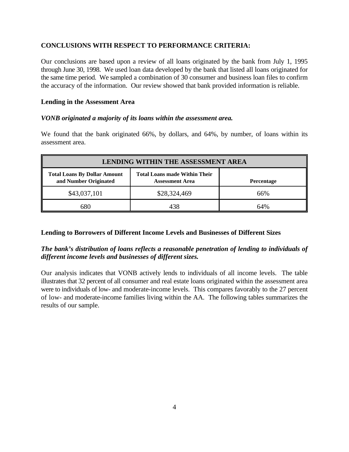#### **CONCLUSIONS WITH RESPECT TO PERFORMANCE CRITERIA:**

Our conclusions are based upon a review of all loans originated by the bank from July 1, 1995 through June 30, 1998. We used loan data developed by the bank that listed all loans originated for the same time period. We sampled a combination of 30 consumer and business loan files to confirm the accuracy of the information. Our review showed that bank provided information is reliable.

#### **Lending in the Assessment Area**

#### *VONB originated a majority of its loans within the assessment area.*

We found that the bank originated 66%, by dollars, and 64%, by number, of loans within its assessment area.

| <b>LENDING WITHIN THE ASSESSMENT AREA</b>                    |                                                                |                   |  |  |
|--------------------------------------------------------------|----------------------------------------------------------------|-------------------|--|--|
| <b>Total Loans By Dollar Amount</b><br>and Number Originated | <b>Total Loans made Within Their</b><br><b>Assessment Area</b> | <b>Percentage</b> |  |  |
| \$43,037,101                                                 | \$28,324,469                                                   | 66%               |  |  |
| 680                                                          |                                                                | 64%               |  |  |

#### **Lending to Borrowers of Different Income Levels and Businesses of Different Sizes**

### *The bank's distribution of loans reflects a reasonable penetration of lending to individuals of different income levels and businesses of different sizes.*

Our analysis indicates that VONB actively lends to individuals of all income levels. The table illustrates that 32 percent of all consumer and real estate loans originated within the assessment area were to individuals of low- and moderate-income levels. This compares favorably to the 27 percent of low- and moderate-income families living within the AA. The following tables summarizes the results of our sample.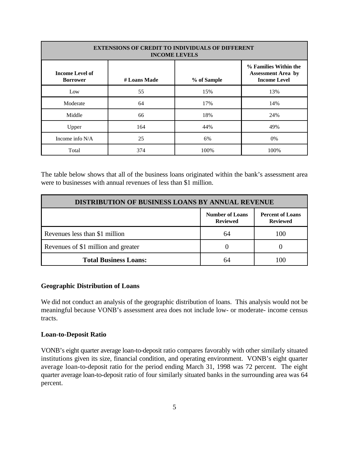| <b>EXTENSIONS OF CREDIT TO INDIVIDUALS OF DIFFERENT</b><br><b>INCOME LEVELS</b> |              |             |                                                                           |  |  |
|---------------------------------------------------------------------------------|--------------|-------------|---------------------------------------------------------------------------|--|--|
| <b>Income Level of</b><br><b>Borrower</b>                                       | # Loans Made | % of Sample | % Families Within the<br><b>Assessment Area by</b><br><b>Income Level</b> |  |  |
| Low                                                                             | 55           | 15%         | 13%                                                                       |  |  |
| Moderate                                                                        | 64           | 17%         | 14%                                                                       |  |  |
| Middle                                                                          | 66           | 18%         | 24%                                                                       |  |  |
| Upper                                                                           | 164          | 44%         | 49%                                                                       |  |  |
| Income info $N/A$                                                               | 25           | 6%          | 0%                                                                        |  |  |
| Total                                                                           | 374          | 100%        | 100%                                                                      |  |  |

The table below shows that all of the business loans originated within the bank's assessment area were to businesses with annual revenues of less than \$1 million.

| <b>DISTRIBUTION OF BUSINESS LOANS BY ANNUAL REVENUE</b> |                                           |                                            |  |  |
|---------------------------------------------------------|-------------------------------------------|--------------------------------------------|--|--|
|                                                         | <b>Number of Loans</b><br><b>Reviewed</b> | <b>Percent of Loans</b><br><b>Reviewed</b> |  |  |
| Revenues less than \$1 million                          | 64                                        |                                            |  |  |
| Revenues of \$1 million and greater                     |                                           |                                            |  |  |
| <b>Total Business Loans:</b>                            | 64                                        |                                            |  |  |

#### **Geographic Distribution of Loans**

We did not conduct an analysis of the geographic distribution of loans. This analysis would not be meaningful because VONB's assessment area does not include low- or moderate- income census tracts.

#### **Loan-to-Deposit Ratio**

VONB's eight quarter average loan-to-deposit ratio compares favorably with other similarly situated institutions given its size, financial condition, and operating environment. VONB's eight quarter average loan-to-deposit ratio for the period ending March 31, 1998 was 72 percent. The eight quarter average loan-to-deposit ratio of four similarly situated banks in the surrounding area was 64 percent.